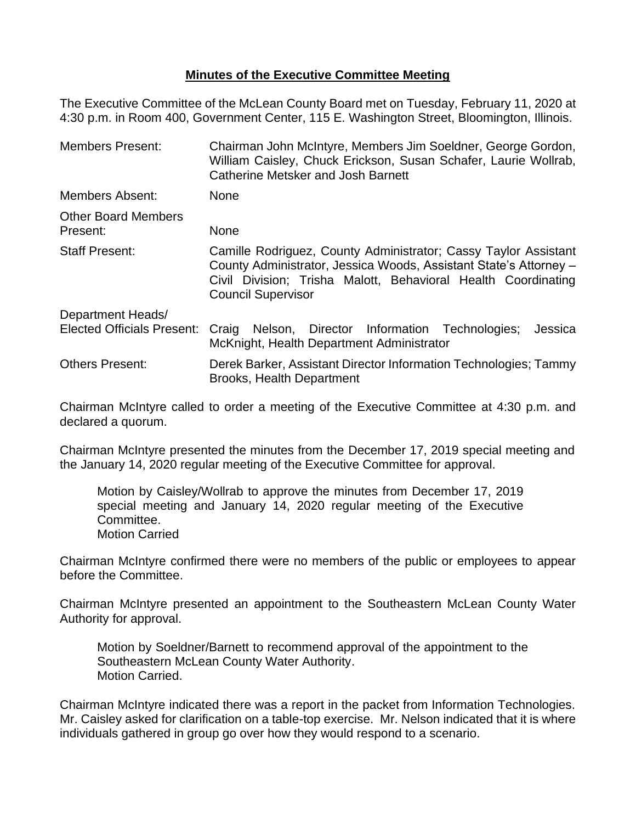## **Minutes of the Executive Committee Meeting**

The Executive Committee of the McLean County Board met on Tuesday, February 11, 2020 at 4:30 p.m. in Room 400, Government Center, 115 E. Washington Street, Bloomington, Illinois.

| <b>Members Present:</b>                                | Chairman John McIntyre, Members Jim Soeldner, George Gordon,<br>William Caisley, Chuck Erickson, Susan Schafer, Laurie Wollrab,<br>Catherine Metsker and Josh Barnett                                                              |  |  |
|--------------------------------------------------------|------------------------------------------------------------------------------------------------------------------------------------------------------------------------------------------------------------------------------------|--|--|
| <b>Members Absent:</b>                                 | <b>None</b>                                                                                                                                                                                                                        |  |  |
| <b>Other Board Members</b><br>Present:                 | None                                                                                                                                                                                                                               |  |  |
| <b>Staff Present:</b>                                  | Camille Rodriguez, County Administrator; Cassy Taylor Assistant<br>County Administrator, Jessica Woods, Assistant State's Attorney -<br>Civil Division; Trisha Malott, Behavioral Health Coordinating<br><b>Council Supervisor</b> |  |  |
| Department Heads/<br><b>Elected Officials Present:</b> | Nelson, Director Information Technologies;<br>Jessica                                                                                                                                                                              |  |  |
|                                                        | Craig<br>McKnight, Health Department Administrator                                                                                                                                                                                 |  |  |
| <b>Others Present:</b>                                 | Derek Barker, Assistant Director Information Technologies; Tammy<br><b>Brooks, Health Department</b>                                                                                                                               |  |  |

Chairman McIntyre called to order a meeting of the Executive Committee at 4:30 p.m. and declared a quorum.

Chairman McIntyre presented the minutes from the December 17, 2019 special meeting and the January 14, 2020 regular meeting of the Executive Committee for approval.

Motion by Caisley/Wollrab to approve the minutes from December 17, 2019 special meeting and January 14, 2020 regular meeting of the Executive Committee. Motion Carried

Chairman McIntyre confirmed there were no members of the public or employees to appear before the Committee.

Chairman McIntyre presented an appointment to the Southeastern McLean County Water Authority for approval.

Motion by Soeldner/Barnett to recommend approval of the appointment to the Southeastern McLean County Water Authority. Motion Carried.

Chairman McIntyre indicated there was a report in the packet from Information Technologies. Mr. Caisley asked for clarification on a table-top exercise. Mr. Nelson indicated that it is where individuals gathered in group go over how they would respond to a scenario.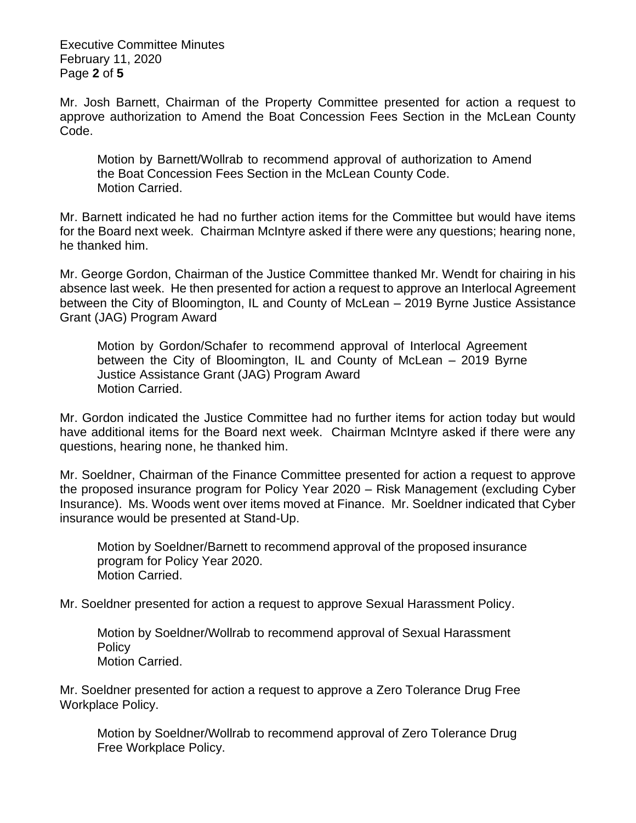Executive Committee Minutes February 11, 2020 Page **2** of **5**

Mr. Josh Barnett, Chairman of the Property Committee presented for action a request to approve authorization to Amend the Boat Concession Fees Section in the McLean County Code.

Motion by Barnett/Wollrab to recommend approval of authorization to Amend the Boat Concession Fees Section in the McLean County Code. Motion Carried.

Mr. Barnett indicated he had no further action items for the Committee but would have items for the Board next week. Chairman McIntyre asked if there were any questions; hearing none, he thanked him.

Mr. George Gordon, Chairman of the Justice Committee thanked Mr. Wendt for chairing in his absence last week. He then presented for action a request to approve an Interlocal Agreement between the City of Bloomington, IL and County of McLean – 2019 Byrne Justice Assistance Grant (JAG) Program Award

Motion by Gordon/Schafer to recommend approval of Interlocal Agreement between the City of Bloomington, IL and County of McLean – 2019 Byrne Justice Assistance Grant (JAG) Program Award Motion Carried.

Mr. Gordon indicated the Justice Committee had no further items for action today but would have additional items for the Board next week. Chairman McIntyre asked if there were any questions, hearing none, he thanked him.

Mr. Soeldner, Chairman of the Finance Committee presented for action a request to approve the proposed insurance program for Policy Year 2020 – Risk Management (excluding Cyber Insurance). Ms. Woods went over items moved at Finance. Mr. Soeldner indicated that Cyber insurance would be presented at Stand-Up.

Motion by Soeldner/Barnett to recommend approval of the proposed insurance program for Policy Year 2020. Motion Carried.

Mr. Soeldner presented for action a request to approve Sexual Harassment Policy.

Motion by Soeldner/Wollrab to recommend approval of Sexual Harassment **Policy** Motion Carried.

Mr. Soeldner presented for action a request to approve a Zero Tolerance Drug Free Workplace Policy.

Motion by Soeldner/Wollrab to recommend approval of Zero Tolerance Drug Free Workplace Policy.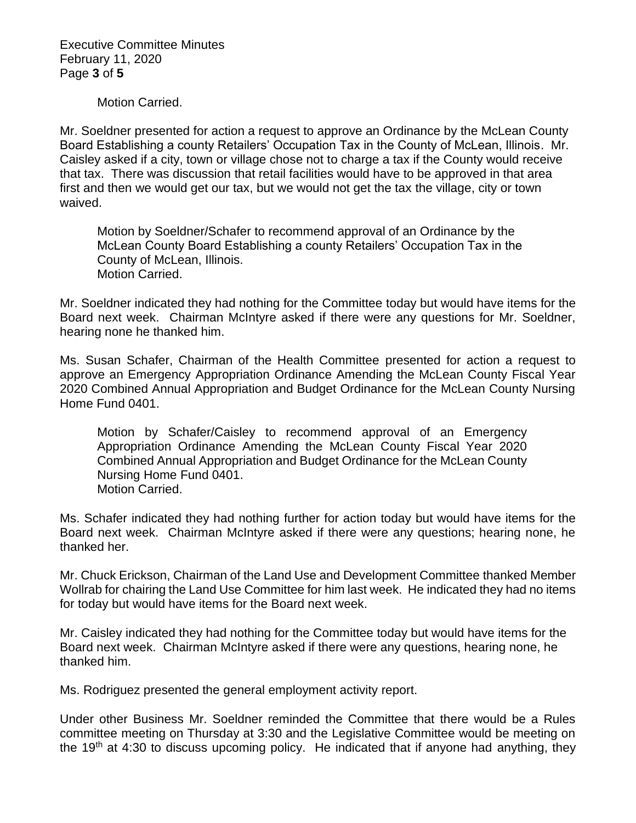Executive Committee Minutes February 11, 2020 Page **3** of **5**

Motion Carried.

Mr. Soeldner presented for action a request to approve an Ordinance by the McLean County Board Establishing a county Retailers' Occupation Tax in the County of McLean, Illinois. Mr. Caisley asked if a city, town or village chose not to charge a tax if the County would receive that tax. There was discussion that retail facilities would have to be approved in that area first and then we would get our tax, but we would not get the tax the village, city or town waived.

Motion by Soeldner/Schafer to recommend approval of an Ordinance by the McLean County Board Establishing a county Retailers' Occupation Tax in the County of McLean, Illinois. Motion Carried.

Mr. Soeldner indicated they had nothing for the Committee today but would have items for the Board next week. Chairman McIntyre asked if there were any questions for Mr. Soeldner, hearing none he thanked him.

Ms. Susan Schafer, Chairman of the Health Committee presented for action a request to approve an Emergency Appropriation Ordinance Amending the McLean County Fiscal Year 2020 Combined Annual Appropriation and Budget Ordinance for the McLean County Nursing Home Fund 0401.

Motion by Schafer/Caisley to recommend approval of an Emergency Appropriation Ordinance Amending the McLean County Fiscal Year 2020 Combined Annual Appropriation and Budget Ordinance for the McLean County Nursing Home Fund 0401. Motion Carried.

Ms. Schafer indicated they had nothing further for action today but would have items for the Board next week. Chairman McIntyre asked if there were any questions; hearing none, he thanked her.

Mr. Chuck Erickson, Chairman of the Land Use and Development Committee thanked Member Wollrab for chairing the Land Use Committee for him last week. He indicated they had no items for today but would have items for the Board next week.

Mr. Caisley indicated they had nothing for the Committee today but would have items for the Board next week. Chairman McIntyre asked if there were any questions, hearing none, he thanked him.

Ms. Rodriguez presented the general employment activity report.

Under other Business Mr. Soeldner reminded the Committee that there would be a Rules committee meeting on Thursday at 3:30 and the Legislative Committee would be meeting on the 19<sup>th</sup> at 4:30 to discuss upcoming policy. He indicated that if anyone had anything, they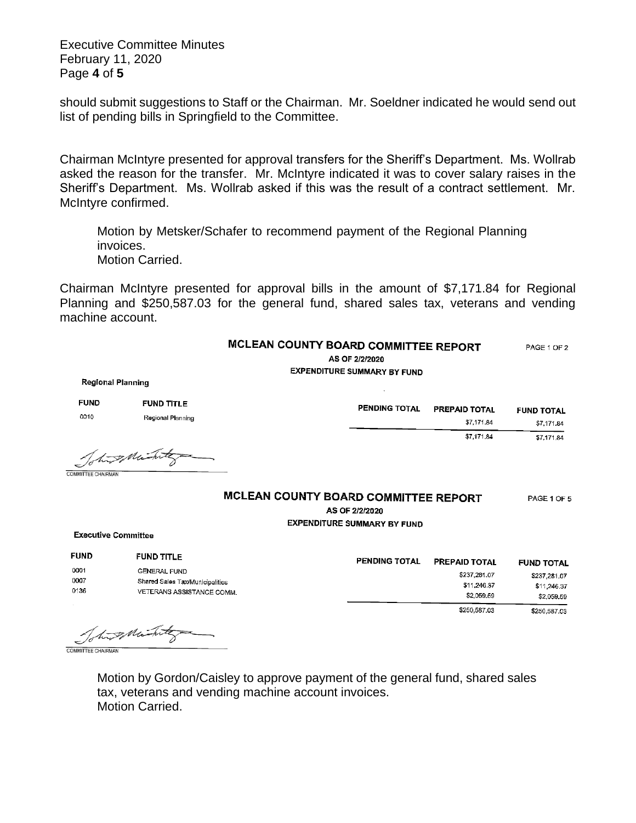Executive Committee Minutes February 11, 2020 Page **4** of **5**

should submit suggestions to Staff or the Chairman. Mr. Soeldner indicated he would send out list of pending bills in Springfield to the Committee.

Chairman McIntyre presented for approval transfers for the Sheriff's Department. Ms. Wollrab asked the reason for the transfer. Mr. McIntyre indicated it was to cover salary raises in the Sheriff's Department. Ms. Wollrab asked if this was the result of a contract settlement. Mr. McIntyre confirmed.

Motion by Metsker/Schafer to recommend payment of the Regional Planning invoices. Motion Carried.

Chairman McIntyre presented for approval bills in the amount of \$7,171.84 for Regional Planning and \$250,587.03 for the general fund, shared sales tax, veterans and vending machine account.

## MCLEAN COUNTY BOARD COMMITTEE REPORT PAGE 1 OF 2

AS OF 2/2/2020 **EXPENDITURE SUMMARY BY FUND** 

**Regional Planning** 

| <b>FUND</b> | <b>FUND TITLE</b>                  | PENDING TOTAL | PREPAID TOTAL |                   |
|-------------|------------------------------------|---------------|---------------|-------------------|
| 0010        | Regional Planning                  |               |               | <b>FUND TOTAL</b> |
|             |                                    |               | \$7,171.84    | \$7,171.84        |
|             |                                    |               | \$7,171.84    | \$7.171.84        |
|             | $\sim$ $\sim$ $\sim$ $\sim$ $\sim$ |               |               |                   |

Total many

COMMITTEE CHAIRMAN

## MCLEAN COUNTY BOARD COMMITTEE REPORT

PAGE 1 OF 5

AS OF 2/2/2020

**EXPENDITURE SUMMARY BY FUND** 

**Executive Committee** 

| <b>FUND</b>          | <b>FUND TITLE</b>                                                                   | <b>PENDING TOTAL</b> | <b>PREPAID TOTAL</b>                      | <b>FUND TOTAL</b>                         |
|----------------------|-------------------------------------------------------------------------------------|----------------------|-------------------------------------------|-------------------------------------------|
| 0001<br>0007<br>0136 | <b>GENERAL FUND</b><br>Shared Sales Tax/Municipalities<br>VETERANS ASSISTANCE COMM. |                      | \$237,281.07<br>\$11,246.37<br>\$2,059,59 | \$237,281.07<br>\$11,246.37<br>\$2,059.59 |
|                      |                                                                                     |                      | \$250,587.03                              | \$250,587.03                              |

This Mintegra

Motion by Gordon/Caisley to approve payment of the general fund, shared sales tax, veterans and vending machine account invoices. Motion Carried.